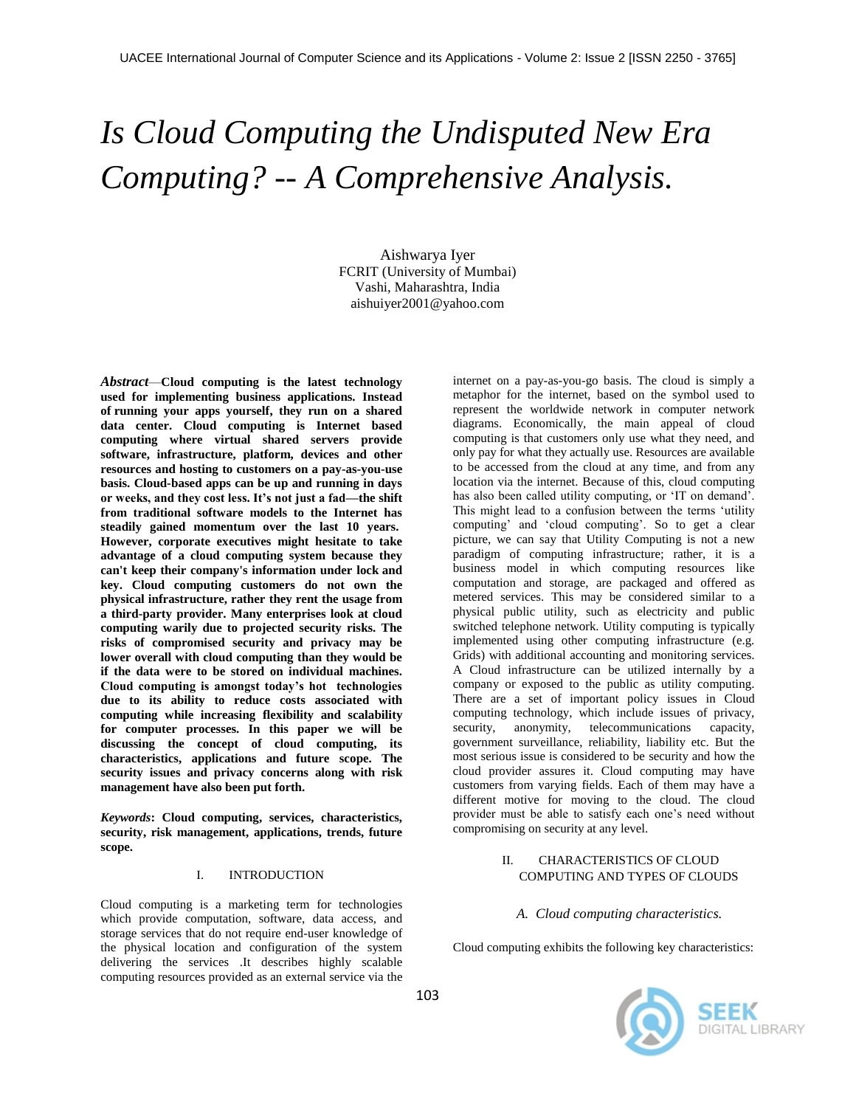# *Is Cloud Computing the Undisputed New Era Computing? -- A Comprehensive Analysis.*

Aishwarya Iyer FCRIT (University of Mumbai) Vashi, Maharashtra, India aishuiyer2001@yahoo.com

*Abstract*—**Cloud computing is the latest technology used for implementing business applications. Instead of running your apps yourself, they run on a shared data center. Cloud computing is Internet based computing where virtual shared servers provide software, infrastructure, platform, devices and other resources and hosting to customers on a pay-as-you-use basis. Cloud-based apps can be up and running in days or weeks, and they cost less. It's not just a fad—the shift from traditional software models to the Internet has steadily gained momentum over the last 10 years. However, corporate executives might hesitate to take advantage of a cloud computing system because they can't keep their company's information under [lock](http://home.howstuffworks.com/home-improvement/household-safety/security/lock.htm) and key. Cloud computing customers do not own the physical infrastructure, rather they rent the usage from a third-party provider. Many enterprises look at cloud computing warily due to projected security risks. The risks of compromised security and privacy may be lower overall with cloud computing than they would be if the data were to be stored on individual machines. Cloud computing is amongst today's hot technologies due to its ability to reduce costs associated with computing while increasing flexibility and scalability for computer processes. In this paper we will be discussing the concept of cloud computing, its characteristics, applications and future scope. The security issues and privacy concerns along with risk management have also been put forth.**

*Keywords***: Cloud computing, services, characteristics, security, risk management, applications, trends, future scope.**

# I. INTRODUCTION

Cloud computing is a marketing term for technologies which provide computation, software, data access, and storage services that do not require end-user knowledge of the physical location and configuration of the system delivering the services .It describes highly scalable computing resources provided as an external service via the

internet on a pay-as-you-go basis. The cloud is simply a metaphor for the internet, based on the symbol used to represent the worldwide network in computer network diagrams. Economically, the main appeal of cloud computing is that customers only use what they need, and only pay for what they actually use. Resources are available to be accessed from the cloud at any time, and from any location via the internet. Because of this, cloud computing has also been called utility computing, or 'IT on demand'. This might lead to a confusion between the terms 'utility computing' and 'cloud computing'. So to get a clear picture, we can say that Utility Computing is not a new paradigm of computing infrastructure; rather, it is a business model in which computing resources like computation and storage, are packaged and offered as metered services. This may be considered similar to a physical public utility, such as electricity and public switched telephone network. Utility computing is typically implemented using other computing infrastructure (e.g. Grids) with additional accounting and monitoring services. A Cloud infrastructure can be utilized internally by a company or exposed to the public as utility computing. There are a set of important policy issues in Cloud computing technology, which include issues of privacy, security, anonymity, telecommunications capacity, government surveillance, reliability, liability etc. But the most serious issue is considered to be security and how the cloud provider assures it. Cloud computing may have customers from varying fields. Each of them may have a different motive for moving to the cloud. The cloud provider must be able to satisfy each one's need without compromising on security at any level.

# II. CHARACTERISTICS OF CLOUD COMPUTING AND TYPES OF CLOUDS

#### *A. Cloud computing characteristics.*

Cloud computing exhibits the following key characteristics:

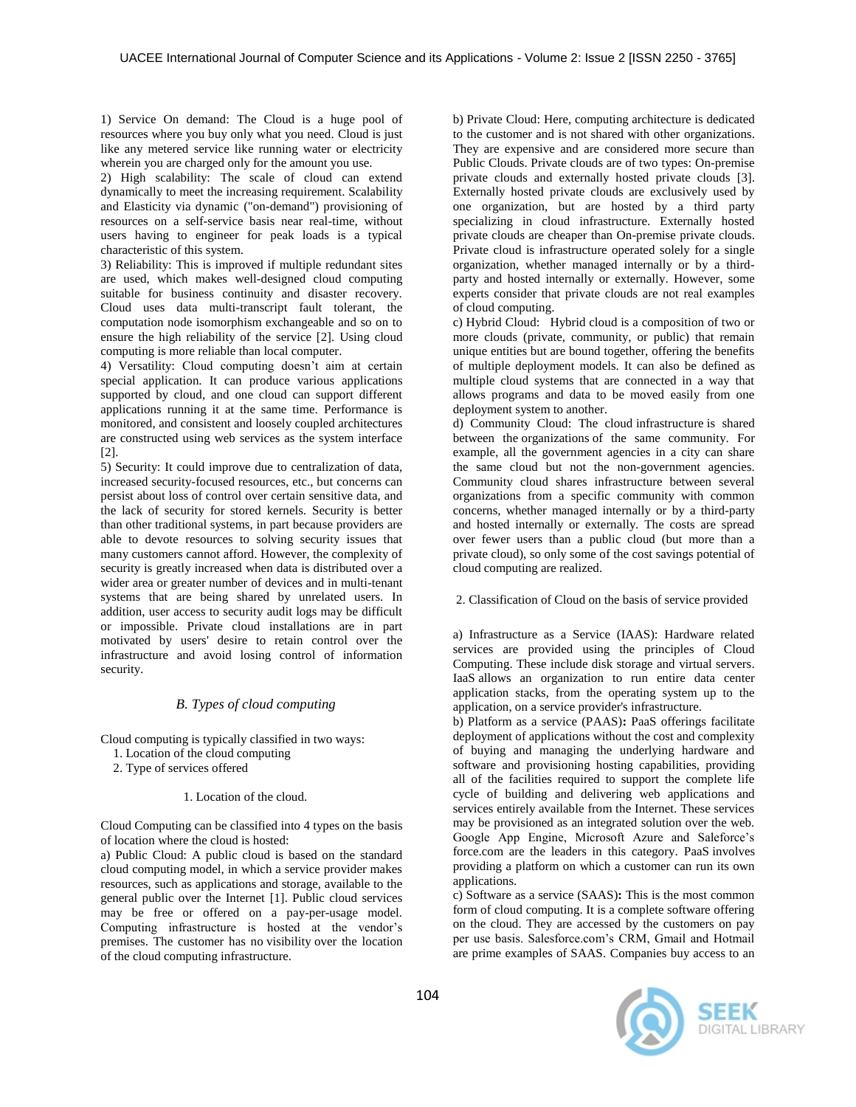1) Service On demand: The Cloud is a huge pool of resources where you buy only what you need. Cloud is just like any metered service like running water or electricity wherein you are charged only for the amount you use.

2) High scalability: The scale of cloud can extend dynamically to meet the increasing requirement. Scalability and Elasticity via dynamic ("on-demand") provisioning of resources on a self-service basis near real-time, without users having to engineer for peak loads is a typical characteristic of this system.

3) Reliability: This is improved if multiple redundant sites are used, which makes well-designed cloud computing suitable for business continuity and disaster recovery. Cloud uses data multi-transcript fault tolerant, the computation node isomorphism exchangeable and so on to ensure the high reliability of the service [2]. Using cloud computing is more reliable than local computer.

4) Versatility: Cloud computing doesn't aim at certain special application. It can produce various applications supported by cloud, and one cloud can support different applications running it at the same time. Performance is monitored, and consistent and loosely coupled architectures are constructed using web services as the system interface [2].

5) Security: It could improve due to centralization of data, increased security-focused resources, etc., but concerns can persist about loss of control over certain sensitive data, and the lack of security for stored kernels. Security is better than other traditional systems, in part because providers are able to devote resources to solving security issues that many customers cannot afford. However, the complexity of security is greatly increased when data is distributed over a wider area or greater number of devices and in multi-tenant systems that are being shared by unrelated users. In addition, user access to security audit logs may be difficult or impossible. Private cloud installations are in part motivated by users' desire to retain control over the infrastructure and avoid losing control of information security.

# *B. Types of cloud computing*

Cloud computing is typically classified in two ways:

- 1. Location of the cloud computing
- 2. Type of services offered

#### 1. Location of the cloud.

Cloud Computing can be classified into 4 types on the basis of location where the cloud is hosted:

a) Public Cloud: A public cloud is based on the standard cloud computing model, in which a service provider makes resources, such as applications and storage, available to the general public over the Internet [1]. Public cloud services may be free or offered on a pay-per-usage model. Computing infrastructure is hosted at the vendor's premises. The customer has no visibility over the location of the cloud computing infrastructure.

b) Private Cloud: Here, computing architecture is dedicated to the customer and is not shared with other organizations. They are expensive and are considered more secure than Public Clouds. Private clouds are of two types: On-premise private clouds and externally hosted private clouds [3]. Externally hosted private clouds are exclusively used by one organization, but are hosted by a third party specializing in cloud infrastructure. Externally hosted private clouds are cheaper than On-premise private clouds. Private cloud is infrastructure operated solely for a single organization, whether managed internally or by a thirdparty and hosted internally or externally. However, some experts consider that private clouds are not real examples of cloud computing.

c) Hybrid Cloud: Hybrid cloud is a composition of two or more clouds (private, community, or public) that remain unique entities but are bound together, offering the benefits of multiple deployment models. It can also be defined as multiple cloud systems that are connected in a way that allows programs and data to be moved easily from one deployment system to another.

d) Community Cloud: The cloud infrastructure is shared between the organizations of the same community. For example, all the government agencies in a city can share the same cloud but not the non-government agencies. Community cloud shares infrastructure between several organizations from a specific community with common concerns, whether managed internally or by a third-party and hosted internally or externally. The costs are spread over fewer users than a public cloud (but more than a private cloud), so only some of the cost savings potential of cloud computing are realized.

#### 2. Classification of Cloud on the basis of service provided

a) Infrastructure as a Service (IAAS): Hardware related services are provided using the principles of Cloud Computing. These include disk storage and virtual servers. [IaaS](http://searchcio.techtarget.in/tutorial/IaaS-cloud-computing-platform-guide-for-managers) allows an organization to run entire data center application stacks, from the operating system up to the application, on a service provider's infrastructure.

b) Platform as a service (PAAS)**:** PaaS offerings facilitate deployment of applications without the cost and complexity of buying and managing the underlying hardware and software and provisioning hosting capabilities, providing all of the facilities required to support the complete life cycle of building and delivering web applications and services entirely available from the Internet. These services may be provisioned as an integrated solution over the web. Google App Engine, Microsoft Azure and Saleforce's force.com are the leaders in this category. PaaS involves providing a platform on which a customer can run its own applications.

c) Software as a service (SAAS)**:** This is the most common form of cloud computing. It is a complete software offering on the cloud. They are accessed by the customers on pay per use basis. Salesforce.com's CRM, Gmail and Hotmail are prime examples of SAAS. Companies buy access to an

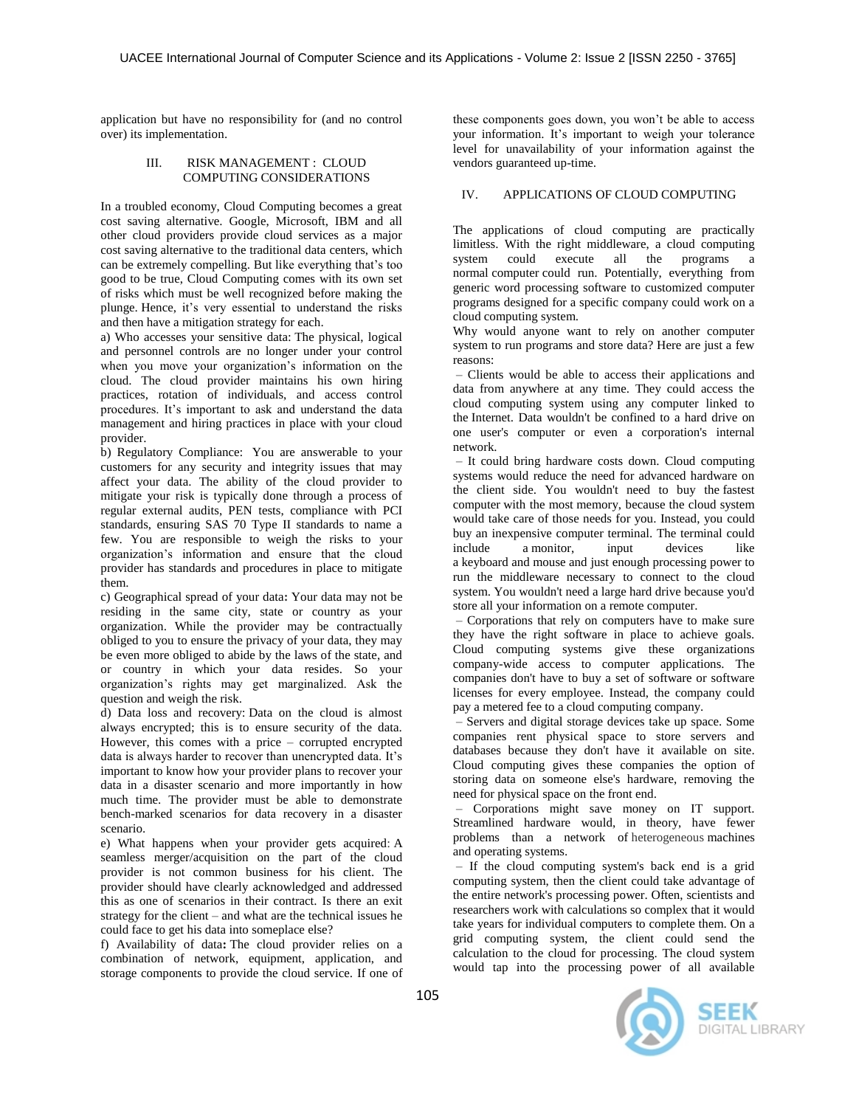application but have no responsibility for (and no control over) its implementation.

#### III. RISK MANAGEMENT : CLOUD COMPUTING CONSIDERATIONS

In a troubled economy, Cloud Computing becomes a great cost saving alternative. Google, Microsoft, IBM and all other cloud providers provide cloud services as a major cost saving alternative to the traditional data centers, which can be extremely compelling. But like everything that's too good to be true, Cloud Computing comes with its own set of risks which must be well recognized before making the plunge. Hence, it's very essential to understand the risks and then have a mitigation strategy for each.

a) Who accesses your sensitive data: The physical, logical and personnel controls are no longer under your control when you move your organization's information on the cloud. The cloud provider maintains his own hiring practices, rotation of individuals, and access control procedures. It's important to ask and understand the data management and hiring practices in place with your cloud provider.

b) Regulatory Compliance: You are answerable to your customers for any security and integrity issues that may affect your data. The ability of the cloud provider to mitigate your risk is typically done through a process of regular external audits, PEN tests, compliance with PCI standards, ensuring SAS 70 Type II standards to name a few. You are responsible to weigh the risks to your organization's information and ensure that the cloud provider has standards and procedures in place to mitigate them.

c) Geographical spread of your data**:** Your data may not be residing in the same city, state or country as your organization. While the provider may be contractually obliged to you to ensure the privacy of your data, they may be even more obliged to abide by the laws of the state, and or country in which your data resides. So your organization's rights may get marginalized. Ask the question and weigh the risk.

d) Data loss and recovery: Data on the cloud is almost always encrypted; this is to ensure security of the data. However, this comes with a price – corrupted encrypted data is always harder to recover than unencrypted data. It's important to know how your provider plans to recover your data in a disaster scenario and more importantly in how much time. The provider must be able to demonstrate bench-marked scenarios for data recovery in a disaster scenario.

e) What happens when your provider gets acquired: A seamless merger/acquisition on the part of the cloud provider is not common business for his client. The provider should have clearly acknowledged and addressed this as one of scenarios in their contract. Is there an exit strategy for the client – and what are the technical issues he could face to get his data into someplace else?

f) Availability of data**:** The cloud provider relies on a combination of network, equipment, application, and storage components to provide the cloud service. If one of these components goes down, you won't be able to access your information. It's important to weigh your tolerance level for unavailability of your information against the vendors guaranteed up-time.

# IV. APPLICATIONS OF CLOUD COMPUTING

The applications of cloud computing are practically limitless. With the right middleware, a cloud computing system could execute all the programs a normal [computer](http://computer.howstuffworks.com/pc.htm) could run. Potentially, everything from generic word processing software to customized computer programs designed for a specific company could work on a cloud computing system.

Why would anyone want to rely on another computer system to run programs and store data? Here are just a few reasons:

– Clients would be able to access their applications and data from anywhere at any time. They could access the cloud computing system using any computer linked to the [Internet.](http://computer.howstuffworks.com/internet/basics/internet-start.htm) Data wouldn't be confined to a hard drive on one user's computer or even a corporation's internal network.

– It could bring hardware costs down. Cloud computing systems would reduce the need for advanced hardware on the client side. You wouldn't need to buy the [fastest](http://computer.howstuffworks.com/question54.htm) [computer](http://computer.howstuffworks.com/question54.htm) with the most [memory,](http://computer.howstuffworks.com/computer-memory.htm) because the cloud system would take care of those needs for you. Instead, you could buy an inexpensive computer terminal. The terminal could include a [monitor,](http://computer.howstuffworks.com/monitor.htm) input devices like a [keyboard](http://computer.howstuffworks.com/keyboard.htm) and [mouse](http://computer.howstuffworks.com/mouse.htm) and just enough processing power to run the middleware necessary to connect to the cloud system. You wouldn't need a large hard drive because you'd store all your information on a remote computer.

– Corporations that rely on computers have to make sure they have the right software in place to achieve goals. Cloud computing systems give these organizations company-wide access to computer applications. The companies don't have to buy a set of software or software licenses for every employee. Instead, the company could pay a metered fee to a cloud computing company.

– Servers and digital storage devices take up space. Some companies rent physical space to store servers and databases because they don't have it available on site. Cloud computing gives these companies the option of storing data on someone else's hardware, removing the need for physical space on the front end.

– Corporations might save money on IT support. Streamlined hardware would, in theory, have fewer problems than a network of heterogeneous machines and [operating systems.](http://computer.howstuffworks.com/operating-system.htm)

– If the cloud computing system's back end is a grid computing system, then the client could take advantage of the entire network's processing power. Often, scientists and researchers work with calculations so complex that it would take years for individual computers to complete them. On a grid computing system, the client could send the calculation to the cloud for processing. The cloud system would tap into the processing power of all available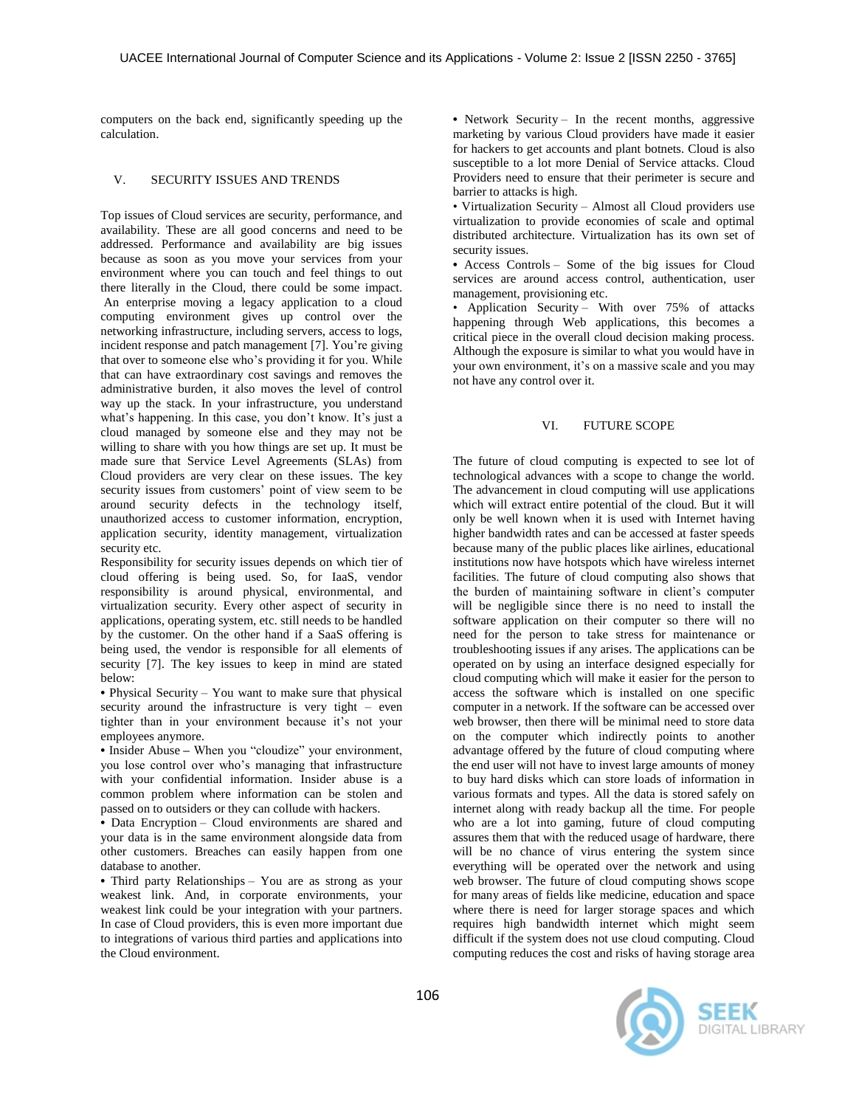computers on the back end, significantly speeding up the calculation.

### V. SECURITY ISSUES AND TRENDS

Top issues of Cloud services are security, performance, and availability. These are all good concerns and need to be addressed. Performance and availability are big issues because as soon as you move your services from your environment where you can touch and feel things to out there literally in the Cloud, there could be some impact. An enterprise moving a legacy application to a cloud computing environment gives up control over the networking infrastructure, including servers, access to logs, incident response and patch management [7]. You're giving that over to someone else who's providing it for you. While that can have extraordinary cost savings and removes the administrative burden, it also moves the level of control way up the stack. In your infrastructure, you understand what's happening. In this case, you don't know. It's just a cloud managed by someone else and they may not be willing to share with you how things are set up. It must be made sure that Service Level Agreements (SLAs) from Cloud providers are very clear on these issues. The key security issues from customers' point of view seem to be around security defects in the technology itself, unauthorized access to customer information, encryption, application security, identity management, virtualization security etc.

Responsibility for security issues depends on which tier of cloud offering is being used. So, for IaaS, vendor responsibility is around physical, environmental, and virtualization security. Every other aspect of security in applications, operating system, etc. still needs to be handled by the customer. On the other hand if a SaaS offering is being used, the vendor is responsible for all elements of security [7]. The key issues to keep in mind are stated below:

**•** Physical Security – You want to make sure that physical security around the infrastructure is very tight – even tighter than in your environment because it's not your employees anymore.

• Insider Abuse – When you "cloudize" your environment, you lose control over who's managing that infrastructure with your confidential information. Insider abuse is a common problem where information can be stolen and passed on to outsiders or they can collude with hackers.

**•** Data Encryption – Cloud environments are shared and your data is in the same environment alongside data from other customers. Breaches can easily happen from one database to another.

**•** Third party Relationships – You are as strong as your weakest link. And, in corporate environments, your weakest link could be your integration with your partners. In case of Cloud providers, this is even more important due to integrations of various third parties and applications into the Cloud environment.

• Network Security – In the recent months, aggressive marketing by various Cloud providers have made it easier for hackers to get accounts and plant botnets. Cloud is also susceptible to a lot more Denial of Service attacks. Cloud Providers need to ensure that their perimeter is secure and barrier to attacks is high.

• Virtualization Security – Almost all Cloud providers use virtualization to provide economies of scale and optimal distributed architecture. Virtualization has its own set of security issues.

**•** Access Controls – Some of the big issues for Cloud services are around access control, authentication, user management, provisioning etc.

• Application Security – With over 75% of attacks happening through Web applications, this becomes a critical piece in the overall cloud decision making process. Although the exposure is similar to what you would have in your own environment, it's on a massive scale and you may not have any control over it.

#### VI. FUTURE SCOPE

The future of cloud computing is expected to see lot of technological advances with a scope to change the world. The advancement in cloud computing will use applications which will extract entire potential of the cloud. But it will only be well known when it is used with Internet having higher bandwidth rates and can be accessed at faster speeds because many of the public places like airlines, educational institutions now have hotspots which have wireless internet facilities. The future of cloud computing also shows that the burden of maintaining software in client's computer will be negligible since there is no need to install the software application on their computer so there will no need for the person to take stress for maintenance or troubleshooting issues if any arises. The applications can be operated on by using an interface designed especially for cloud computing which will make it easier for the person to access the software which is installed on one specific computer in a network. If the software can be accessed over web browser, then there will be minimal need to store data on the computer which indirectly points to another advantage offered by the future of cloud computing where the end user will not have to invest large amounts of money to buy hard disks which can store loads of information in various formats and types. All the data is stored safely on internet along with ready backup all the time. For people who are a lot into gaming, future of cloud computing assures them that with the reduced usage of hardware, there will be no chance of virus entering the system since everything will be operated over the network and using web browser. The future of cloud computing shows scope for many areas of fields like medicine, education and space where there is need for larger storage spaces and which requires high bandwidth internet which might seem difficult if the system does not use cloud computing. Cloud computing reduces the cost and risks of having storage area